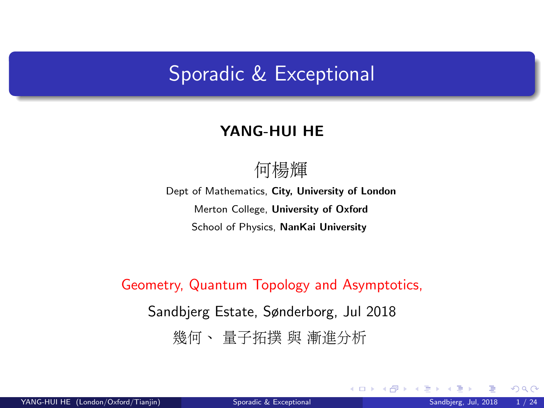### <span id="page-0-0"></span>Sporadic & Exceptional

#### YANG-HUI HE

### 何楊<sup>輝</sup>

Dept of Mathematics, City, University of London Merton College, University of Oxford School of Physics, NanKai University

Geometry, Quantum Topology and Asymptotics, Sandbjerg Estate, Sønderborg, Jul 2018 <sup>幾</sup>何、 <sup>量</sup>子拓<sup>撲</sup> <sup>與</sup> <sup>漸</sup>進分析

 $\Omega$ 

**K ロ ト K 何 ト K 目**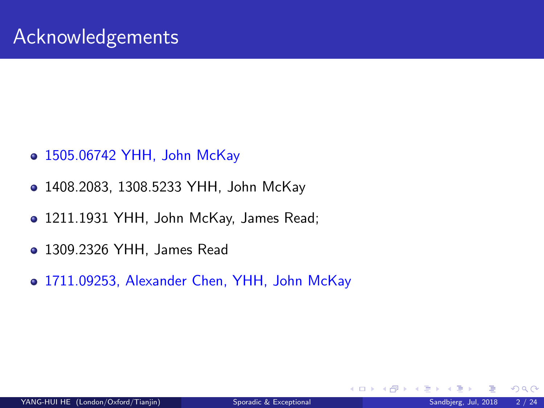- 1505.06742 YHH, John McKay
- 1408.2083, 1308.5233 YHH, John McKay
- 1211.1931 YHH, John McKay, James Read;
- 1309.2326 YHH, James Read
- 1711.09253, Alexander Chen, YHH, John McKay

 $\Omega$ 

**4 ロ ト 4 何 ト 4**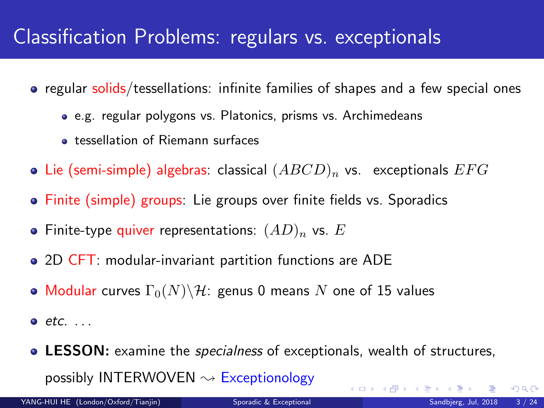### Classification Problems: regulars vs. exceptionals

- regular solids/tessellations: infinite families of shapes and a few special ones
	- e.g. regular polygons vs. Platonics, prisms vs. Archimedeans
	- **•** tessellation of Riemann surfaces
- Lie (semi-simple) algebras: classical  $(ABCD)_n$  vs. exceptionals  $EFG$
- Finite (simple) groups: Lie groups over finite fields vs. Sporadics
- Finite-type quiver representations:  $(AD)_n$  vs. E
- 2D CFT: modular-invariant partition functions are ADE
- Modular curves  $\Gamma_0(N)\backslash\mathcal{H}$ : genus 0 means N one of 15 values
- $e$  etc.  $\ldots$
- **LESSON:** examine the *specialness* of exceptionals, wealth of structures, possibly INTERWOVEN  $\rightsquigarrow$  Exceptionology **K ロ ト K 御 ト K 走 ト**

 $QQ$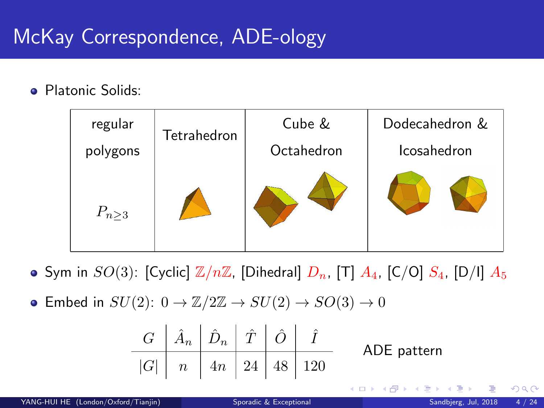## <span id="page-3-0"></span>McKay Correspondence, ADE-ology

**• Platonic Solids:** 



- Sym in  $SO(3)$ : [Cyclic]  $\mathbb{Z}/n\mathbb{Z}$ , [Dihedral]  $D_n$ , [T]  $A_4$ , [C/O]  $S_4$ , [D/I]  $A_5$
- Embed in  $SU(2)$ :  $0 \rightarrow \mathbb{Z}/2\mathbb{Z} \rightarrow SU(2) \rightarrow SO(3) \rightarrow 0$

| $G$   | $\hat{A}_n$ | $\hat{D}_n$ | $\hat{T}$ | $\hat{O}$ | $\hat{I}$ |
|-------|-------------|-------------|-----------|-----------|-----------|
| $ G $ | $n$         | $4n$        | $24$      | $48$      | $120$     |

\nADE pattern

 $\Omega$ 

**K ロ ▶ K 御 ▶ K 舌**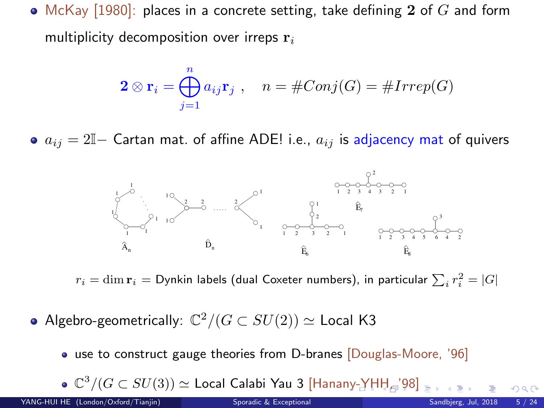<span id="page-4-0"></span>• McKay [1980]: places in a concrete setting, take defining  $2$  of  $G$  and form multiplicity decomposition over irreps  $r_i$ 

$$
\mathbf{2} \otimes \mathbf{r}_i = \bigoplus_{j=1}^n a_{ij} \mathbf{r}_j \ , \quad n = \# Conj(G) = \# Irrep(G)
$$

•  $a_{ij} = 2\mathbb{I}$  Cartan mat. of affine ADE! i.e.,  $a_{ij}$  is adjacency mat of quivers



 $r_i=\dim {\bf r}_i={\sf Dynkin}$  labels (dual Coxeter numbers), in particular  $\sum_i r_i^2=|G|$ 

Algebro-geometrically:  $\mathbb{C}^2/(G\subset SU(2))\simeq \mathsf{Local}$  K3

use to construct gauge theories from D-branes [Douglas-Moore, '96]

 $\mathbb{C}^3/(G\subset SU(3))\simeq {\sf Local}$  Calabi Yau 3 [Hana[ny-](#page-3-0)[YH](#page-5-0)[H](#page-3-0), 1[9](#page-5-0)[8\]](#page-0-0)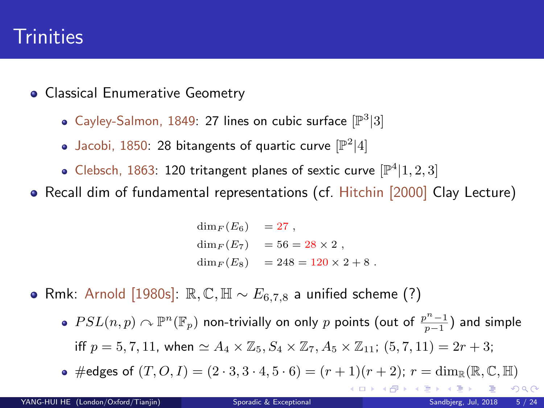### <span id="page-5-0"></span>**Trinities**

- **Classical Enumerative Geometry** 
	- Cayley-Salmon, 1849: 27 lines on cubic surface  $[\mathbb{P}^3|3]$
	- Jacobi, 1850: 28 bitangents of quartic curve  $[\mathbb{P}^2|4]$
	- Clebsch, 1863: 120 tritangent planes of sextic curve  $[\mathbb{P}^4|1,2,3]$
- Recall dim of fundamental representations (cf. Hitchin [2000] Clay Lecture)

 $\dim_F (E_6) = 27$ ,  $\dim_F (E_7) = 56 = 28 \times 2$ ,  $\dim_{E}(E_8) = 248 = 120 \times 2 + 8$ .

- Rmk: Arnold [1980s]:  $\mathbb{R}, \mathbb{C}, \mathbb{H} \sim E_{6.7,8}$  a unified scheme (?)
	- $PSL(n,p)\curvearrowright \mathbb{P}^n(\mathbb{F}_p)$  non-trivially on only  $p$  points (out of  $\frac{p^n-1}{p-1})$  and simple iff  $p = 5, 7, 11$ , when  $\simeq A_4 \times \mathbb{Z}_5$ ,  $S_4 \times \mathbb{Z}_7$ ,  $A_5 \times \mathbb{Z}_{11}$ ;  $(5, 7, 11) = 2r + 3$ ;
	- $\bullet$  #edges of  $(T, O, I) = (2 \cdot 3, 3 \cdot 4, 5 \cdot 6) = (r + 1)(r + 2); r = \dim_{\mathbb{R}} (\mathbb{R}, \mathbb{C}, \mathbb{H})$ メロメ メタメ メミメス

 $\Omega$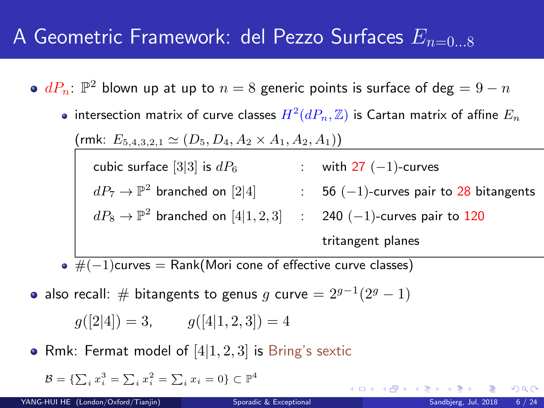### A Geometric Framework: del Pezzo Surfaces  $E_{n=0.8}$

- $dP_n\colon \mathbb{P}^2$  blown up at up to  $n=8$  generic points is surface of  $\deg = 9-n$ 
	- intersection matrix of curve classes  $H^2(dP_n,\mathbb{Z})$  is Cartan matrix of affine  $E_n$

(rmk:  $E_{5,4,3,2,1} \simeq (D_5, D_4, A_2 \times A_1, A_2, A_1)$ )

cubic surface  $[3|3]$  is  $dP_6$  : with 27  $(-1)$ -curves  $dP_7 \rightarrow \mathbb{P}^2$  branched on  $[2|4]$   $\hspace{1cm}$  :  $\hspace{1cm}$  56  $(-1)$ -curves pair to  $28$  bitangents  $dP_8 \rightarrow \mathbb{P}^2$  branched on  $[4|1,2,3]$   $\;\;:\;\;$  240  $(-1)$ -curves pair to  $120$ 

tritangent planes

**K ロ ト K 何 ト K 目** 

 $\bullet \ \overline{\#(-1)$ curves = Rank(Mori cone of effective curve classes)

also recall:  $\#$  bitangents to genus  $g$  curve  $= 2^{g-1}(2^g - 1)$ 

$$
g([2|4]) = 3,
$$
  $g([4|1,2,3]) = 4$ 

• Rmk: Fermat model of  $[4|1, 2, 3]$  is Bring's sextic

$$
\mathcal{B}=\{\sum_i x_i^3=\sum_i x_i^2=\sum_i x_i=0\}\subset \mathbb{P}^4
$$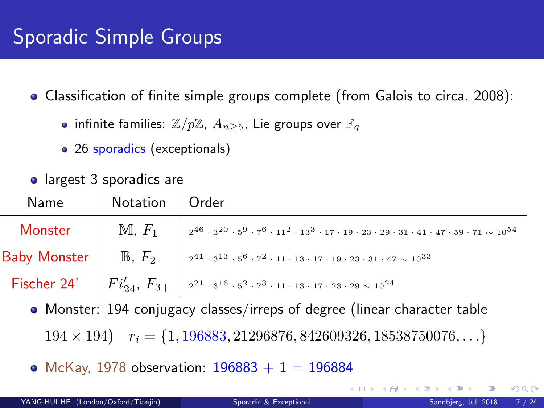a largest 3 sporadics are

Classification of finite simple groups complete (from Galois to circa. 2008):

- infinite families:  $\mathbb{Z}/p\mathbb{Z}$ ,  $A_{n>5}$ , Lie groups over  $\mathbb{F}_q$
- 26 sporadics (exceptionals)

| laigest of sporagics are |                                                                                                                                                                                                     |
|--------------------------|-----------------------------------------------------------------------------------------------------------------------------------------------------------------------------------------------------|
| Name   Notation   Order  |                                                                                                                                                                                                     |
|                          | Monster $\parallel M, F_1 \parallel$ $_2^{46} \cdot 3^{20} \cdot 5^9 \cdot 7^6 \cdot 11^2 \cdot 13^3 \cdot 17 \cdot 19 \cdot 23 \cdot 29 \cdot 31 \cdot 41 \cdot 47 \cdot 59 \cdot 71 \sim 10^{54}$ |
|                          | Baby Monster $\Big $ B, $F_2$ $\Big $ $2^{41} \cdot 3^{13} \cdot 5^6 \cdot 7^2 \cdot 11 \cdot 13 \cdot 17 \cdot 19 \cdot 23 \cdot 31 \cdot 47 \sim 10^{33}$                                         |
|                          | <b>Fischer 24'</b> $\begin{vmatrix} Fi'_{24}, F_{3+} \end{vmatrix}$ $2^{21} \cdot 3^{16} \cdot 5^2 \cdot 7^3 \cdot 11 \cdot 13 \cdot 17 \cdot 23 \cdot 29 \sim 10^{24}$                             |

• Monster: 194 conjugacy classes/irreps of degree (linear character table

 $194 \times 194$   $r_i = \{1, 196883, 21296876, 842609326, 18538750076, \ldots\}$ 

• McKay, 1978 observation:  $196883 + 1 = 196884$ 

**K ロ ト K 何 ト K ヨ ト** 

 $QQ$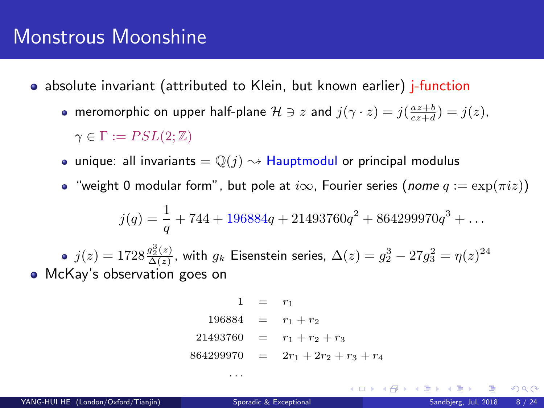- absolute invariant (attributed to Klein, but known earlier) j-function
	- meromorphic on upper half-plane  $\mathcal{H} \ni z$  and  $j(\gamma \cdot z) = j(\frac{az+b}{cz+d}) = j(z)$ ,  $\gamma \in \Gamma := PSL(2;\mathbb{Z})$
	- unique: all invariants  $= \mathbb{Q}(j) \rightsquigarrow$  Hauptmodul or principal modulus
	- "weight 0 modular form", but pole at  $i\infty$ , Fourier series (nome  $q := \exp(\pi i z)$ )

$$
j(q) = \frac{1}{q} + 744 + 196884q + 21493760q^{2} + 864299970q^{3} + \dots
$$

 $j(z)=1728\frac{g_2^3(z)}{\Delta(z)}$ , with  $g_k$  Eisenstein series,  $\Delta(z)=g_2^3-27g_3^2=\eta(z)^{24}$ • McKay's observation goes on

$$
1 = r_1
$$
  
\n
$$
196884 = r_1 + r_2
$$
  
\n
$$
21493760 = r_1 + r_2 + r_3
$$
  
\n
$$
864299970 = 2r_1 + 2r_2 + r_3 + r_4
$$

. . .

**K ロ ト K 何 ト K ヨ ト**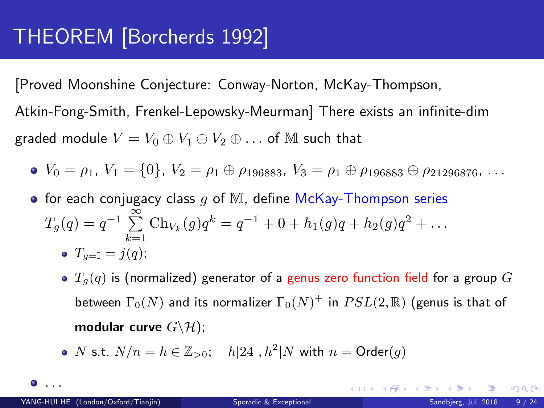[Proved Moonshine Conjecture: Conway-Norton, McKay-Thompson, Atkin-Fong-Smith, Frenkel-Lepowsky-Meurman] There exists an infinite-dim graded module  $V = V_0 \oplus V_1 \oplus V_2 \oplus \ldots$  of M such that

• 
$$
V_0 = \rho_1
$$
,  $V_1 = \{0\}$ ,  $V_2 = \rho_1 \oplus \rho_{196883}$ ,  $V_3 = \rho_1 \oplus \rho_{196883} \oplus \rho_{21296876}$ , ...

- for each conjugacy class  $g$  of M, define McKay-Thompson series  $T_g(q) = q^{-1} \sum_{k=1}^{\infty} \text{Ch}_{V_k}(g) q^k = q^{-1} + 0 + h_1(g)q + h_2(g)q^2 + \dots$  $k=1$ •  $T_{q=1} = i(q);$ 
	- $T_q(q)$  is (normalized) generator of a genus zero function field for a group G between  $\Gamma_0(N)$  and its normalizer  $\Gamma_0(N)^+$  in  $PSL(2,\mathbb{R})$  (genus is that of modular curve  $G \backslash \mathcal{H}$ );
	- N s.t.  $N/n = h \in \mathbb{Z}_{>0}$ ;  $h|24$ ,  $h^2|N$  with  $n = \text{Order}(g)$

. . .

 $\Omega$ 

 $A \cap B \rightarrow A \cap B \rightarrow A \Rightarrow A \Rightarrow$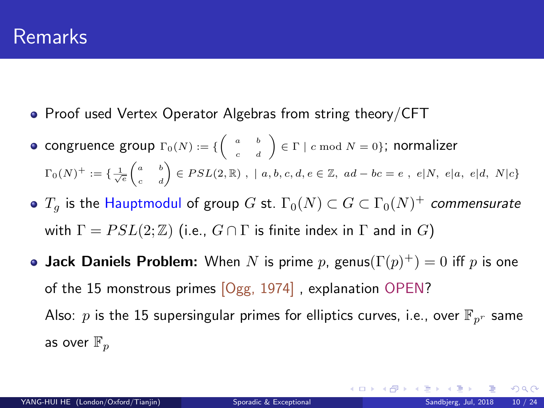- Proof used Vertex Operator Algebras from string theory/CFT
- congruence group  $\Gamma_0(N) := \{ \left( \begin{array}{cc} a & b \\ c & d \end{array} \right) \in \Gamma \mid c \bmod N = 0 \};$  normalizer  $\Gamma_0(N)^+:=\{\frac{1}{\sqrt{e}}\begin{pmatrix} a & b \ c & d \end{pmatrix}\in PSL(2, \mathbb R) \,\,,\,\, \mid a,b,c,d,e\in \mathbb Z,\,\, ad-bc=e\,\,,\,\, e|N,\,\, e|a,\,\, e|d,\,\, N|c\}$
- $T_g$  is the Hauptmodul of group  $G$  st.  $\Gamma_0(N)\subset G\subset \Gamma_0(N)^+$  commensurate with  $\Gamma = PSL(2;\mathbb{Z})$  (i.e.,  $G \cap \Gamma$  is finite index in  $\Gamma$  and in  $G$ )
- **Jack Daniels Problem:** When N is prime p, genus $(\Gamma(p)^+) = 0$  iff p is one of the 15 monstrous primes [Ogg, 1974] , explanation OPEN? Also: p is the 15 supersingular primes for elliptics curves, i.e., over  $\mathbb{F}_{p^r}$  same as over  $\mathbb{F}_p$

 $\Omega$ 

メロトメ 倒 トメ ミトメ ミト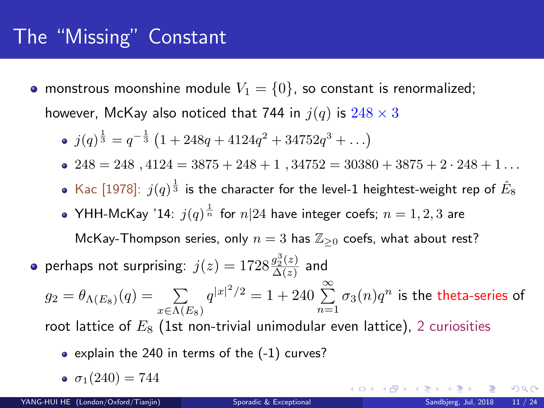### <span id="page-11-0"></span>The "Missing" Constant

• monstrous moonshine module  $V_1 = \{0\}$ , so constant is renormalized; however, McKay also noticed that 744 in  $j(q)$  is  $248 \times 3$ 

• 
$$
j(q)^{\frac{1}{3}} = q^{-\frac{1}{3}} (1 + 248q + 4124q^2 + 34752q^3 + \ldots)
$$

- $248 = 248$ ,  $4124 = 3875 + 248 + 1$ ,  $34752 = 30380 + 3875 + 2 \cdot 248 + 1$ ...
- Kac [1978]:  $j(q)^{\frac{1}{3}}$  is the character for the level-1 heightest-weight rep of  $\hat{E}_8$
- YHH-McKay '14:  $j(q)^{\frac{1}{n}}$  for  $n|24$  have integer coefs;  $n=1,2,3$  are

McKay-Thompson series, only  $n = 3$  has  $\mathbb{Z}_{\geq 0}$  coefs, what about rest?

perhaps not surprising:  $j(z) = 1728 \frac{g_2^3(z)}{\Delta(z)}$  $\frac{g_2(z)}{\Delta(z)}$  and

 $g_2 = \theta_{\Lambda(E_8)}(q) = \sum_{x \in \Lambda(E_8)}$  $q^{|x|^2/2} = 1 + 240 \sum_{n=1}^{\infty} \sigma_3(n) q^n$  is the theta-series of

root lattice of  $E_8$  (1st non-trivial unimodular even lattice), 2 curiosities

- $\bullet$  explain the 240 in terms of the  $(-1)$  curves?
- $\bullet$   $\sigma_1(240) = 744$

メロト メタト メミト メミ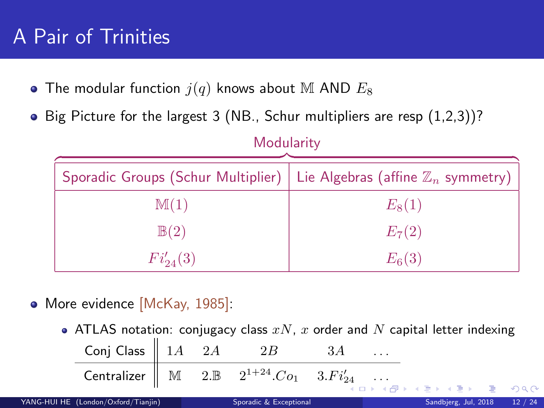### <span id="page-12-0"></span>A Pair of Trinities

- $\bullet$  The modular function  $j(q)$  knows about M AND  $E_8$
- $\bullet$  Big Picture for the largest 3 (NB., Schur multipliers are resp  $(1,2,3)$ )?

| <b>NOQUISTILY</b> |                                                                                    |  |  |  |
|-------------------|------------------------------------------------------------------------------------|--|--|--|
|                   | Sporadic Groups (Schur Multiplier)   Lie Algebras (affine $\mathbb{Z}_n$ symmetry) |  |  |  |
| M(1)              | $E_8(1)$                                                                           |  |  |  |
| $\mathbb{B}(2)$   | $E_7(2)$                                                                           |  |  |  |
| $Fi'_{24}(3)$     | $E_6(3)$                                                                           |  |  |  |

Modularity

- More evidence [McKay, 1985]:
	- ATLAS notation: conjugacy class  $xN$ ,  $x$  order and  $N$  capital letter indexing

| Conj Class $\begin{array}{ c c c } 1A & 2A & 2B & 3A & \dots \end{array}$                                                                                                                                              |  |  |                                       |  |
|------------------------------------------------------------------------------------------------------------------------------------------------------------------------------------------------------------------------|--|--|---------------------------------------|--|
| $\begin{tabular}{ c c c c c c c c c } \hline \multicolumn{3}{ c }{\textbf{Centralizer}} & $\mathbb{M}$ & $\mathbb{2}.\mathbb{B}$ & $\mathbb{2}^{1+24}.Co_1$ & $\mathbb{3}.Fi'_{24}$ & $\dots$ \\ \hline \end{tabular}$ |  |  | - 《 ロ 》 《 母 》 《 글 》 《 글 》 《 글 》 ② ④ ① |  |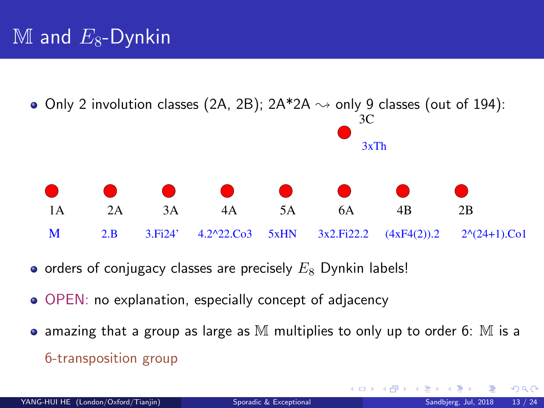<span id="page-13-0"></span>

- $\bullet$  orders of conjugacy classes are precisely  $E_8$  Dynkin labels!
- OPEN: no explanation, especially concept of adjacency
- $\bullet$  amazing that a group as large as M multiplies to only up to order 6: M is a 6-transposition group

 $\Omega$ 

**K ロ ▶ K 何 ▶ K 手**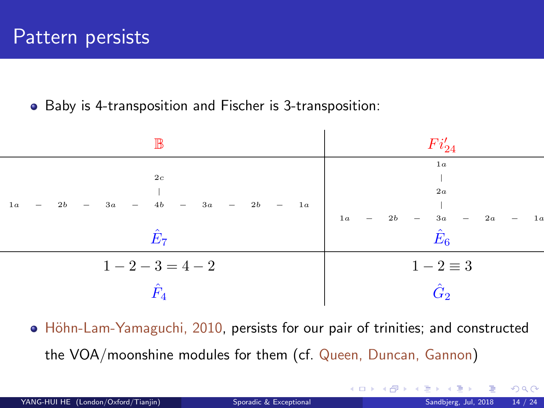#### Baby is 4-transposition and Fischer is 3-transposition:

| IB                                                                                                                               | $Fi'_{24}$                                                                                                                                   |
|----------------------------------------------------------------------------------------------------------------------------------|----------------------------------------------------------------------------------------------------------------------------------------------|
| 2c<br>$\begin{array}{ccccccccccccccccccccc} 1a & - & 2b & - & 3a & - & 4b & - & 3a & - & 2b & - & 1a \end{array}$<br>$\hat{E}_7$ | 1 <sub>a</sub><br>2a<br>$\begin{array}{ccc} & &   & \\ 2b & - & 3a \end{array}$<br>1a<br>2a<br>1a<br>$\overline{\phantom{a}}$<br>$\hat{E}_6$ |
| $1-2-3=4-2$<br>$\hat{F}_4$                                                                                                       | $1-2\equiv 3$<br>$\hat G$                                                                                                                    |

• Höhn-Lam-Yamaguchi, 2010, persists for our pair of trinities; and constructed the VOA/moonshine modules for them (cf. Queen, Duncan, Gannon)

 $\Omega$ 

**K ロ ト K 何 ト K ヨ ト**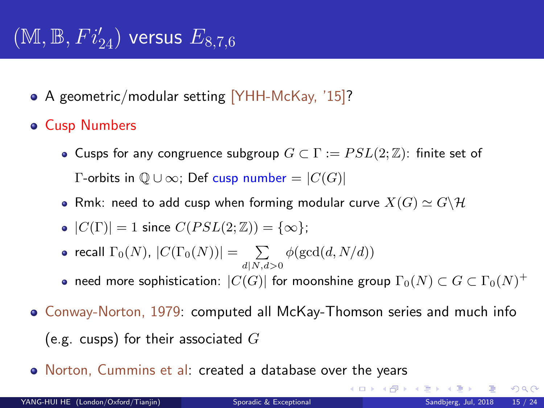# $(\mathbb{M}, \mathbb{B}, Fi'_{24})$  versus  $E_{8,7,6}$

- A geometric/modular setting [YHH-McKay, '15]?
- Cusp Numbers
	- **Cusps for any congruence subgroup**  $G \subset \Gamma := PSL(2;\mathbb{Z})$ : finite set of Γ-orbits in  $Q ∪ ∞$ ; Def cusp number =  $|C(G)|$
	- Rmk: need to add cusp when forming modular curve  $X(G) \simeq G \backslash \mathcal{H}$
	- $|C(\Gamma)| = 1$  since  $C(PSL(2;\mathbb{Z})) = {\infty};$
	- recall  $\Gamma_0(N)$ ,  $|C(\Gamma_0(N))| = \sum_{d \mid N, d > 0} \phi(\gcd(d, N/d))$
	- need more sophistication:  $|C(G)|$  for moonshine group  $\Gamma_0(N)\subset G\subset \Gamma_0(N)^+$
- Conway-Norton, 1979: computed all McKay-Thomson series and much info (e.g. cusps) for their associated  $G$
- Norton, Cummins et al: created a database over the years

 $\Omega$ 

**K ロ ト K 御 ト K 君 ト K 君**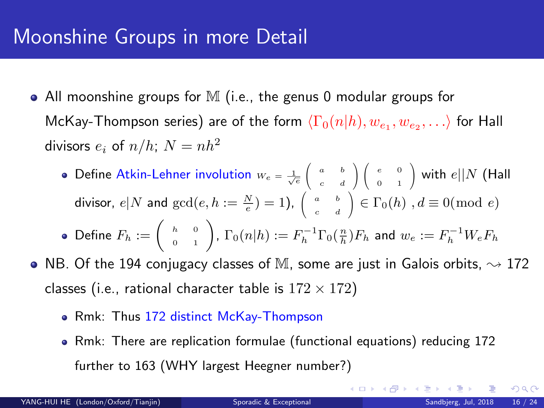### Moonshine Groups in more Detail

- All moonshine groups for M (i.e., the genus 0 modular groups for McKay-Thompson series) are of the form  $\langle \Gamma_0(n|h), w_{e_1}, w_{e_2}, \ldots \rangle$  for Hall divisors  $e_i$  of  $n/h$ ;  $N = nh^2$ 
	- Define Atkin-Lehner involution  $w_e = \frac{1}{\sqrt{e}}$  $\sqrt{2}$  $\begin{pmatrix} a & b \\ c & d \end{pmatrix}$ c d ∖  $\overline{1}$  $\sqrt{2}$  $\begin{pmatrix} e & 0 \\ 0 & 1 \end{pmatrix}$ 0 1  $\big)$  with  $e||N$  (Hall divisor,  $e|N$  and  $gcd(e, h := \frac{N}{e}) = 1$ ),  $\Big($  $\begin{pmatrix} a & b \\ c & d \end{pmatrix}$ c d  $\Big) \in \Gamma_0(h)$ ,  $d \equiv 0 \pmod{e}$ Define  $F_h:=\left(\begin{array}{cc} _h&_0\cr _0&_1\end{array}\right)$ ,  $\Gamma_0(n|h):=F_h^{-1}\Gamma_0(\frac{n}{h})F_h$  and  $w_e:=F_h^{-1}W_eF_h$
- $\bullet$ NB. Of the 194 conjugacy classes of M, some are just in Galois orbits,  $\sim$  172 classes (i.e., rational character table is  $172 \times 172$ )
	- Rmk: Thus 172 distinct McKay-Thompson
	- Rmk: There are replication formulae (functional equations) reducing 172 further to 163 (WHY largest Heegner number?)

 $\Omega$ 

メロメ メ御 メメ きょうぼき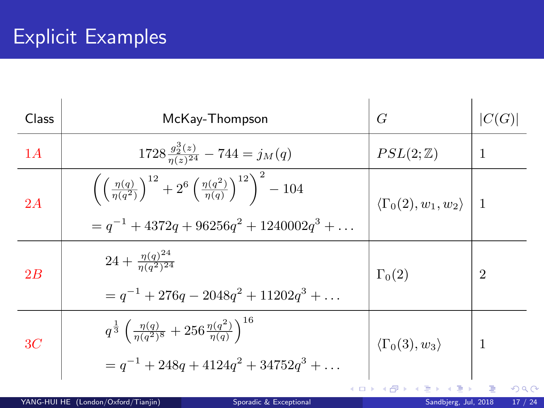### Explicit Examples

| Class | McKay-Thompson                                                                                                                                                     | G                                           | C(G)           |
|-------|--------------------------------------------------------------------------------------------------------------------------------------------------------------------|---------------------------------------------|----------------|
| 1A    | $1728 \frac{g_2^3(z)}{n(z)^{24}} - 744 = j_M(q)$                                                                                                                   | $PSL(2;\mathbb{Z})$                         | 1              |
| 2A    | $\left(\left(\frac{\eta(q)}{\eta(q^2)}\right)^{12}+2^6\left(\frac{\eta(q^2)}{\eta(q)}\right)^{12}\right)^2-104$<br>$q^{-1} + 4372q + 96256q^{2} + 1240002q^{3} + $ | $\langle \Gamma_0(2), w_1, w_2 \rangle$   1 |                |
| 2B    | $24+\frac{\eta(q)^{24}}{n(q^2)^{24}}$<br>$= q^{-1} + 276q - 2048q^{2} + 11202q^{3} + \dots$                                                                        | $\Gamma_0(2)$                               | $\overline{2}$ |
| 3C    | $q^{\frac{1}{3}}\left(\frac{\eta(q)}{\eta(q^2)^8}+256\frac{\eta(q^2)}{\eta(q)}\right)^{16}$<br>$= q^{-1} + 248q + 4124q^{2} + 34752q^{3} + \ldots$                 | $\langle \Gamma_0(3), w_3 \rangle$          | -1             |
|       |                                                                                                                                                                    | イロト イ押 トイヨ トイヨト                             | э.             |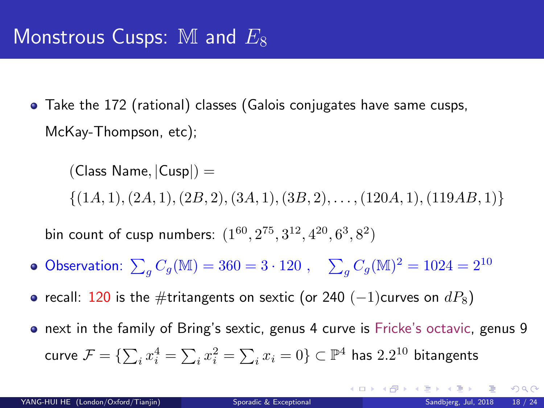Take the 172 (rational) classes (Galois conjugates have same cusps, McKay-Thompson, etc);

 $(Class Name, |Cusp|) =$  $\{(1A, 1), (2A, 1), (2B, 2), (3A, 1), (3B, 2), \ldots, (120A, 1), (119AB, 1)\}\$ 

bin count of cusp numbers:  $(1^{60}, 2^{75}, 3^{12}, 4^{20}, 6^3, 8^2)$ 

- Observation:  $\sum_{g} C_g(M) = 360 = 3 \cdot 120$ ,  $\sum_{g} C_g(M)^2 = 1024 = 2^{10}$
- recall: 120 is the #tritangents on sextic (or 240 (-1)curves on  $dP_8$ )
- **•** next in the family of Bring's sextic, genus 4 curve is Fricke's octavic, genus 9 curve  $\mathcal{F}=\{\sum_i x_i^4=\sum_i x_i^2=\sum_i x_i=0\}\subset \mathbb{P}^4$  has  $2.2^{10}$  bitangents

 $QQ$ 

 $A \sqcap B$   $A \sqcap B$   $A \sqcap B$   $A \sqcap B$   $A$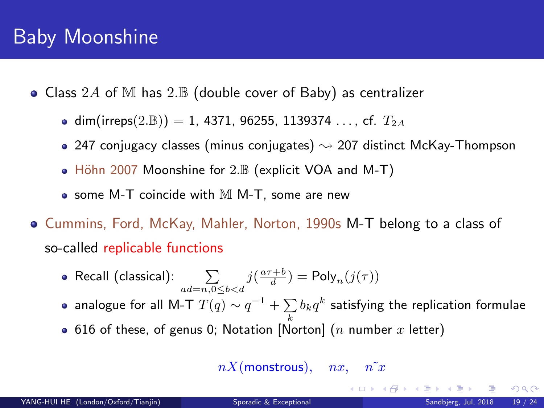### Baby Moonshine

- Class 2A of M has 2. $\mathbb B$  (double cover of Baby) as centralizer
	- dim(irreps(2.B)) = 1, 4371, 96255, 1139374 ..., cf.  $T_{2A}$
	- 247 conjugacy classes (minus conjugates)  $\sim$  207 distinct McKay-Thompson
	- $\bullet$  Höhn 2007 Moonshine for 2. $\mathbb B$  (explicit VOA and M-T)
	- $\bullet$  some M-T coincide with M M-T, some are new
- Cummins, Ford, McKay, Mahler, Norton, 1990s M-T belong to a class of so-called replicable functions
	- Recall (classical):  $\sum_{ad=n,0\leq b < d} j(\frac{a\tau+b}{d}) = \text{Poly}_n(j(\tau))$
	- analogue for all M-T  $T(q)\sim q^{-1}+\sum\limits_{k}b_{k}q^{k}$  satisfying the replication formulae
	- 616 of these, of genus 0; Notation [Norton] (n number x letter)

 $nX$ (monstrous),  $nx$ ,  $n^{\sim}x$ 

 $\Omega$ 

メロト メ都 トメ ヨ トメ ヨト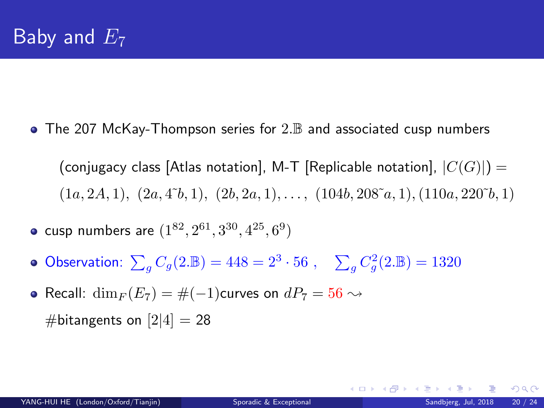$\bullet$  The 207 McKay-Thompson series for 2. $\mathbb B$  and associated cusp numbers

(conjugacy class [Atlas notation], M-T [Replicable notation],  $|C(G)|$ ] =  $(1a, 2A, 1), (2a, 4\tilde{b}, 1), (2b, 2a, 1), \ldots, (104b, 208\tilde{a}, 1), (110a, 220\tilde{b}, 1)$ 

- cusp numbers are  $(1^{82}, 2^{61}, 3^{30}, 4^{25}, 6^9)$
- Observation:  $\sum_{g} C_g(2.\mathbb{B}) = 448 = 2^3 \cdot 56$ ,  $\sum_{g} C_g^2(2.\mathbb{B}) = 1320$
- Recall:  $\dim_F (E_7) = \# (-1)$ curves on  $dP_7 = 56 \rightsquigarrow$ #bitangents on  $[2|4] = 28$

メロト メ都 トメ ヨ トメ ヨ ト

 $2990$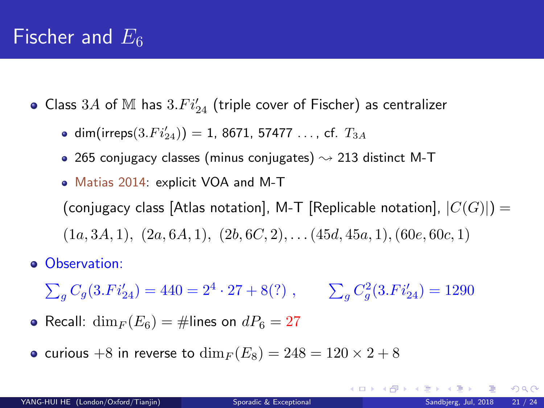### <span id="page-21-0"></span>Fischer and  $E_6$

- Class  $3A$  of  $M$  has  $3.Fi'_{24}$  (triple cover of Fischer) as centralizer
	- ${\sf dim}({\sf irreps}(3.Fi'_{24}))=1, \, 8671, \, 57477\, \ldots, \, {\sf cf.} \,\, T_{3A}$
	- 265 conjugacy classes (minus conjugates)  $\rightsquigarrow$  213 distinct M-T
	- Matias 2014: explicit VOA and M-T (conjugacy class [Atlas notation], M-T [Replicable notation],  $|C(G)|$ ] =  $(1a, 3A, 1), (2a, 6A, 1), (2b, 6C, 2), \ldots (45d, 45a, 1), (60e, 60c, 1)$
- **o** Observation:
	- $\sum_{g} C_g(3.Fi'_{24}) = 440 = 2^4 \cdot 27 + 8(?)$ ,  $\sum_{g} C_g^2(3.Fi'_{24}) = 1290$
- Recall:  $\dim_F (E_6) = \text{\#lines on } dP_6 = 27$
- curious +8 in reverse to  $\dim_F (E_8) = 248 = 120 \times 2 + 8$

 $\Omega$ 

メロメ メ御 メメ きょうぼき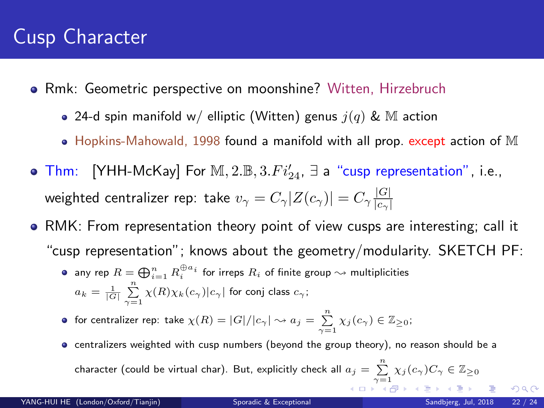### <span id="page-22-0"></span>Cusp Character

- Rmk: Geometric perspective on moonshine? Witten, Hirzebruch
	- 24-d spin manifold w/ elliptic (Witten) genus  $j(q)$  & M action
	- $\bullet$  Hopkins-Mahowald, 1998 found a manifold with all prop. except action of M
- Thm: [YHH-McKay] For  $M$ ,  $2.\mathbb{B}$ ,  $3.Fi'_{24}$ ,  $\exists$  a "cusp representation", i.e., weighted centralizer rep: take  $v_\gamma = C_\gamma |Z(c_\gamma)| = C_\gamma \frac{|G|}{|c_\gamma|}$  $|c_\gamma|$
- RMK: From representation theory point of view cusps are interesting; call it "cusp representation"; knows about the geometry/modularity. SKETCH PF:
	- any rep  $R=\bigoplus_{i=1}^n R_i^{\oplus a_i}$  for irreps  $R_i$  of finite group  $\leadsto$  multiplicities  $a_k = \frac{1}{|G|} \sum_{\gamma=1}^n \chi(R) \chi_k(c_\gamma) |c_\gamma|$  for conj class  $c_\gamma;$
	- for centralizer rep: take  $\chi(R)=|G|/|c_\gamma|\leadsto a_j=\sum\limits_{\gamma=1}^n\chi_j(c_\gamma)\in\mathbb{Z}_{\geq 0};$
	- centralizers weighted with cusp numbers (beyond the group theory), no reason should be a character (could be virtual char). But, explicitly check all  $a_j=\sum\limits_{\gamma=1}^n \chi_j(c_\gamma)C_\gamma\in\mathbb{Z}_{\geq 0}$  $a_j=\sum\limits_{\gamma=1}^n \chi_j(c_\gamma)C_\gamma\in\mathbb{Z}_{\geq 0}$  $a_j=\sum\limits_{\gamma=1}^n \chi_j(c_\gamma)C_\gamma\in\mathbb{Z}_{\geq 0}$  $a_j=\sum\limits_{\gamma=1}^n \chi_j(c_\gamma)C_\gamma\in\mathbb{Z}_{\geq 0}$  $a_j=\sum\limits_{\gamma=1}^n \chi_j(c_\gamma)C_\gamma\in\mathbb{Z}_{\geq 0}$

 $\Omega$ 

 $1.73 \times 1.73 \times 1.$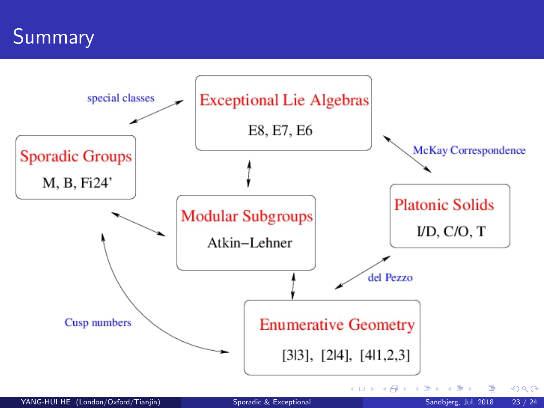<span id="page-23-0"></span>**Summary**